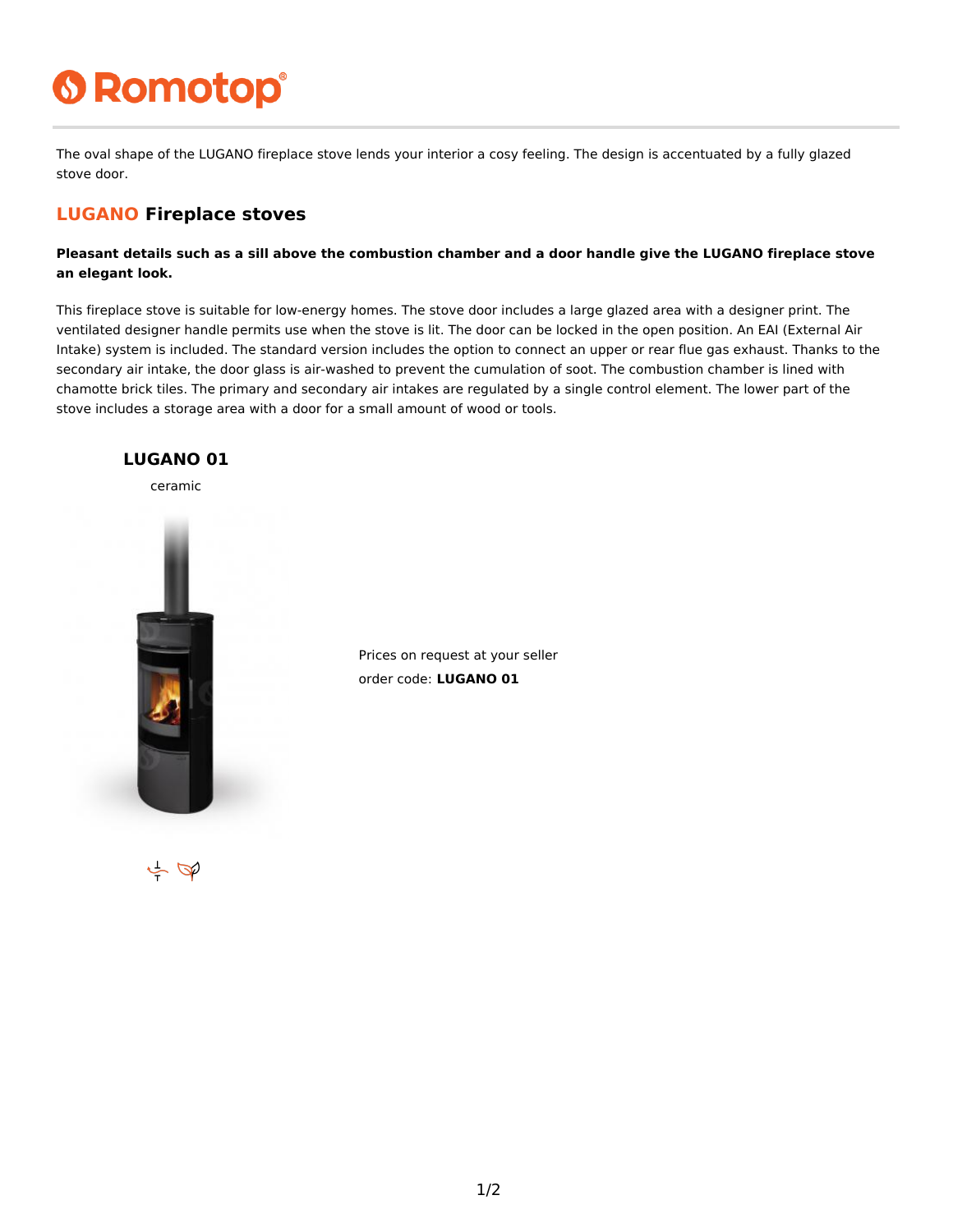# **6 Romotop®**

The oval shape of the LUGANO fireplace stove lends your interior a cosy feeling. The design is accentuated by a fully glazed stove door.

### **LUGANO Fireplace stoves**

**Pleasant details such as a sill above the combustion chamber and a door handle give the LUGANO fireplace stove an elegant look.**

This fireplace stove is suitable for low-energy homes. The stove door includes a large glazed area with a designer print. The ventilated designer handle permits use when the stove is lit. The door can be locked in the open position. An EAI (External Air Intake) system is included. The standard version includes the option to connect an upper or rear flue gas exhaust. Thanks to the secondary air intake, the door glass is air-washed to prevent the cumulation of soot. The combustion chamber is lined with chamotte brick tiles. The primary and secondary air intakes are regulated by a single control element. The lower part of the stove includes a storage area with a door for a small amount of wood or tools.



Prices on request at your seller order code: **LUGANO 01**

 $\leftarrow \Phi$